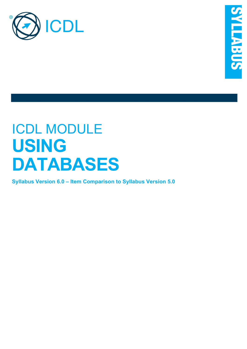

# ICDL MODULE **USING DATABASES**

**Syllabus Version 6.0 – Item Comparison to Syllabus Version 5.0**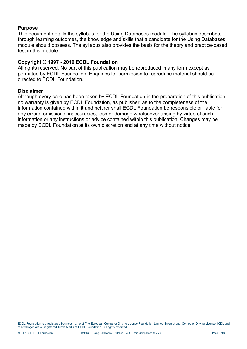#### **Purpose**

This document details the syllabus for the Using Databases module. The syllabus describes, through learning outcomes, the knowledge and skills that a candidate for the Using Databases module should possess. The syllabus also provides the basis for the theory and practice-based test in this module.

### **Copyright © 1997 - 2016 ECDL Foundation**

All rights reserved. No part of this publication may be reproduced in any form except as permitted by ECDL Foundation. Enquiries for permission to reproduce material should be directed to ECDL Foundation.

#### **Disclaimer**

Although every care has been taken by ECDL Foundation in the preparation of this publication, no warranty is given by ECDL Foundation, as publisher, as to the completeness of the information contained within it and neither shall ECDL Foundation be responsible or liable for any errors, omissions, inaccuracies, loss or damage whatsoever arising by virtue of such information or any instructions or advice contained within this publication. Changes may be made by ECDL Foundation at its own discretion and at any time without notice.

ECDL Foundation is a registered business name of The European Computer Driving Licence Foundation Limited. International Computer Driving Licence, ICDL and related logos are all registered Trade Marks of ECDL Foundation. All rights reserved.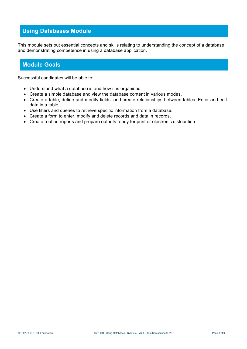# **Using Databases Module**

This module sets out essential concepts and skills relating to understanding the concept of a database and demonstrating competence in using a database application.

## **Module Goals**

Successful candidates will be able to:

- Understand what a database is and how it is organised.
- Create a simple database and view the database content in various modes.
- Create a table, define and modify fields, and create relationships between tables. Enter and edit data in a table.
- Use filters and queries to retrieve specific information from a database.
- Create a form to enter, modify and delete records and data in records.
- Create routine reports and prepare outputs ready for print or electronic distribution.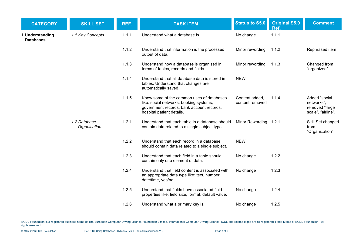| <b>CATEGORY</b>                     | <b>SKILL SET</b>             | REF.  | <b>TASK ITEM</b>                                                                                                                                               | <b>Status to S5.0</b>             | <b>Original S5.0</b><br>Ref. | <b>Comment</b>                                                      |
|-------------------------------------|------------------------------|-------|----------------------------------------------------------------------------------------------------------------------------------------------------------------|-----------------------------------|------------------------------|---------------------------------------------------------------------|
| 1 Understanding<br><b>Databases</b> | 1.1 Key Concepts             | 1.1.1 | Understand what a database is.                                                                                                                                 | No change                         | 1.1.1                        |                                                                     |
|                                     |                              | 1.1.2 | Understand that information is the processed<br>output of data.                                                                                                | Minor rewording                   | 1.1.2                        | Rephrased item                                                      |
|                                     |                              | 1.1.3 | Understand how a database is organised in<br>terms of tables, records and fields.                                                                              | Minor rewording                   | 1.1.3                        | Changed from<br>"organized"                                         |
|                                     |                              | 1.1.4 | Understand that all database data is stored in<br>tables. Understand that changes are<br>automatically saved.                                                  | <b>NEW</b>                        |                              |                                                                     |
|                                     |                              | 1.1.5 | Know some of the common uses of databases<br>like: social networks, booking systems,<br>government records, bank account records,<br>hospital patient details. | Content added,<br>content removed | 1.1.4                        | Added "social<br>networks",<br>removed "large<br>scale", "airline". |
|                                     | 1.2 Database<br>Organisation | 1.2.1 | Understand that each table in a database should<br>contain data related to a single subject type.                                                              | Minor Rewording 1.2.1             |                              | Skill Set changed<br>from<br>"Organization"                         |
|                                     |                              | 1.2.2 | Understand that each record in a database<br>should contain data related to a single subject.                                                                  | <b>NEW</b>                        |                              |                                                                     |
|                                     |                              | 1.2.3 | Understand that each field in a table should<br>contain only one element of data.                                                                              | No change                         | 1.2.2                        |                                                                     |
|                                     |                              | 1.2.4 | Understand that field content is associated with<br>an appropriate data type like: text, number,<br>date/time, yes/no.                                         | No change                         | 1.2.3                        |                                                                     |
|                                     |                              | 1.2.5 | Understand that fields have associated field<br>properties like: field size, format, default value.                                                            | No change                         | 1.2.4                        |                                                                     |
|                                     |                              | 1.2.6 | Understand what a primary key is.                                                                                                                              | No change                         | 1.2.5                        |                                                                     |

ECDL Foundation is a registered business name of The European Computer Driving Licence Foundation Limited. International Computer Driving Licence, ICDL and related logos are all registered Trade Marks of ECDL Foundation. A rights reserved.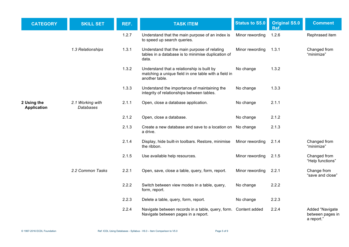| <b>CATEGORY</b>                   | <b>SKILL SET</b>                     | REF.  | <b>TASK ITEM</b>                                                                                                     | <b>Status to S5.0</b> | <b>Original S5.0</b><br>Ref. | <b>Comment</b>                                    |
|-----------------------------------|--------------------------------------|-------|----------------------------------------------------------------------------------------------------------------------|-----------------------|------------------------------|---------------------------------------------------|
|                                   |                                      | 1.2.7 | Understand that the main purpose of an index is<br>to speed up search queries.                                       | Minor rewording       | 1.2.6                        | Rephrased item                                    |
|                                   | 1.3 Relationships                    | 1.3.1 | Understand that the main purpose of relating<br>tables in a database is to minimise duplication of<br>data.          | Minor rewording       | 1.3.1                        | Changed from<br>"minimize"                        |
|                                   |                                      | 1.3.2 | Understand that a relationship is built by<br>matching a unique field in one table with a field in<br>another table. | No change             | 1.3.2                        |                                                   |
|                                   |                                      | 1.3.3 | Understand the importance of maintaining the<br>integrity of relationships between tables.                           | No change             | 1.3.3                        |                                                   |
| 2 Using the<br><b>Application</b> | 2.1 Working with<br><b>Databases</b> | 2.1.1 | Open, close a database application.                                                                                  | No change             | 2.1.1                        |                                                   |
|                                   |                                      | 2.1.2 | Open, close a database.                                                                                              | No change             | 2.1.2                        |                                                   |
|                                   |                                      | 2.1.3 | Create a new database and save to a location on<br>a drive.                                                          | No change             | 2.1.3                        |                                                   |
|                                   |                                      | 2.1.4 | Display, hide built-in toolbars. Restore, minimise<br>the ribbon.                                                    | Minor rewording       | 2.1.4                        | Changed from<br>"minimize"                        |
|                                   |                                      | 2.1.5 | Use available help resources.                                                                                        | Minor rewording       | 2.1.5                        | Changed from<br>"Help functions"                  |
|                                   | 2.2 Common Tasks                     | 2.2.1 | Open, save, close a table, query, form, report.                                                                      | Minor rewording       | 2.2.1                        | Change from<br>"save and close"                   |
|                                   |                                      | 2.2.2 | Switch between view modes in a table, query,<br>form, report.                                                        | No change             | 2.2.2                        |                                                   |
|                                   |                                      | 2.2.3 | Delete a table, query, form, report.                                                                                 | No change             | 2.2.3                        |                                                   |
|                                   |                                      | 2.2.4 | Navigate between records in a table, query, form. Content added<br>Navigate between pages in a report.               |                       | 2.2.4                        | Added "Navigate<br>between pages in<br>a report." |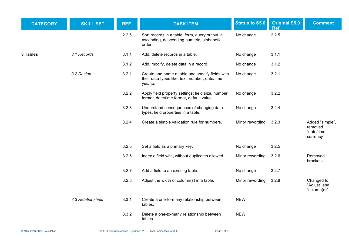| <b>CATEGORY</b> | <b>SKILL SET</b>  | REF.  | <b>TASK ITEM</b>                                                                                              | <b>Status to S5.0</b> | <b>Original S5.0</b><br>Ref. | <b>Comment</b>                                         |
|-----------------|-------------------|-------|---------------------------------------------------------------------------------------------------------------|-----------------------|------------------------------|--------------------------------------------------------|
|                 |                   | 2.2.5 | Sort records in a table, form, query output in<br>ascending, descending numeric, alphabetic<br>order.         | No change             | 2.2.5                        |                                                        |
| 3 Tables        | 3.1 Records       | 3.1.1 | Add, delete records in a table.                                                                               | No change             | 3.1.1                        |                                                        |
|                 |                   | 3.1.2 | Add, modify, delete data in a record.                                                                         | No change             | 3.1.2                        |                                                        |
|                 | 3.2 Design        | 3.2.1 | Create and name a table and specify fields with<br>their data types like: text, number, date/time,<br>yes/no. | No change             | 3.2.1                        |                                                        |
|                 |                   | 3.2.2 | Apply field property settings: field size, number<br>format, date/time format, default value.                 | No change             | 3.2.2                        |                                                        |
|                 |                   | 3.2.3 | Understand consequences of changing data<br>types, field properties in a table.                               | No change             | 3.2.4                        |                                                        |
|                 |                   | 3.2.4 | Create a simple validation rule for numbers.                                                                  | Minor rewording       | 3.2.3                        | Added "simple",<br>removed<br>"date/time,<br>currency" |
|                 |                   | 3.2.5 | Set a field as a primary key.                                                                                 | No change             | 3.2.5                        |                                                        |
|                 |                   | 3.2.6 | Index a field with, without duplicates allowed.                                                               | Minor rewording       | 3.2.6                        | Removed<br>brackets                                    |
|                 |                   | 3.2.7 | Add a field to an existing table.                                                                             | No change             | 3.2.7                        |                                                        |
|                 |                   | 3.2.8 | Adjust the width of column(s) in a table.                                                                     | Minor rewording       | 3.2.8                        | Changed to<br>"Adjust" and<br>"column(s)"              |
|                 | 3.3 Relationships | 3.3.1 | Create a one-to-many relationship between<br>tables.                                                          | <b>NEW</b>            |                              |                                                        |
|                 |                   | 3.3.2 | Delete a one-to-many relationship between<br>tables.                                                          | <b>NEW</b>            |                              |                                                        |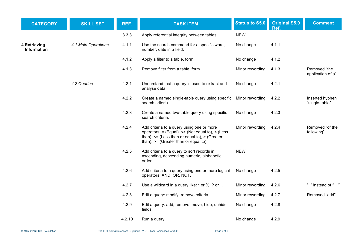| <b>CATEGORY</b>                    | <b>SKILL SET</b>    | REF.   | <b>TASK ITEM</b>                                                                                                                                                                                         | <b>Status to S5.0</b> | <b>Original S5.0</b><br>Ref. | <b>Comment</b>                    |
|------------------------------------|---------------------|--------|----------------------------------------------------------------------------------------------------------------------------------------------------------------------------------------------------------|-----------------------|------------------------------|-----------------------------------|
|                                    |                     | 3.3.3  | Apply referential integrity between tables.                                                                                                                                                              | <b>NEW</b>            |                              |                                   |
| 4 Retrieving<br><b>Information</b> | 4.1 Main Operations | 4.1.1  | Use the search command for a specific word,<br>number, date in a field.                                                                                                                                  | No change             | 4.1.1                        |                                   |
|                                    |                     | 4.1.2  | Apply a filter to a table, form.                                                                                                                                                                         | No change             | 4.1.2                        |                                   |
|                                    |                     | 4.1.3  | Remove filter from a table, form.                                                                                                                                                                        | Minor rewording       | 4.1.3                        | Removed "the<br>application of a" |
|                                    | 4.2 Queries         | 4.2.1  | Understand that a query is used to extract and<br>analyse data.                                                                                                                                          | No change             | 4.2.1                        |                                   |
|                                    |                     | 4.2.2  | Create a named single-table query using specific<br>search criteria.                                                                                                                                     | Minor rewording       | 4.2.2                        | Inserted hyphen<br>"single-table" |
|                                    |                     | 4.2.3  | Create a named two-table query using specific<br>search criteria.                                                                                                                                        | No change             | 4.2.3                        |                                   |
|                                    |                     | 4.2.4  | Add criteria to a query using one or more<br>operators: $=$ (Equal), $\le$ (Not equal to), $\le$ (Less<br>than), $\leq$ (Less than or equal to), $>$ (Greater<br>than), $>=$ (Greater than or equal to). | Minor rewording       | 4.2.4                        | Removed "of the<br>following"     |
|                                    |                     | 4.2.5  | Add criteria to a query to sort records in<br>ascending, descending numeric, alphabetic<br>order.                                                                                                        | <b>NEW</b>            |                              |                                   |
|                                    |                     | 4.2.6  | Add criteria to a query using one or more logical<br>operators: AND, OR, NOT.                                                                                                                            | No change             | 4.2.5                        |                                   |
|                                    |                     | 4.2.7  | Use a wildcard in a query like: * or %, ? or _.                                                                                                                                                          | Minor rewording       | 4.2.6                        | " "instead of "                   |
|                                    |                     | 4.2.8  | Edit a query: modify, remove criteria.                                                                                                                                                                   | Minor rewording       | 4.2.7                        | Removed "add"                     |
|                                    |                     | 4.2.9  | Edit a query: add, remove, move, hide, unhide<br>fields.                                                                                                                                                 | No change             | 4.2.8                        |                                   |
|                                    |                     | 4.2.10 | Run a query.                                                                                                                                                                                             | No change             | 4.2.9                        |                                   |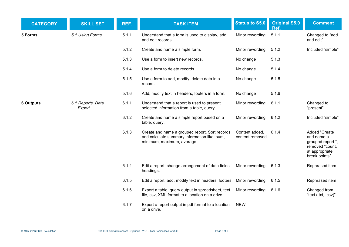| <b>CATEGORY</b>  | <b>SKILL SET</b>            | REF.  | <b>TASK ITEM</b>                                                                                                             | <b>Status to S5.0</b>             | <b>Original S5.0</b><br>Ref. | <b>Comment</b>                                                                                         |
|------------------|-----------------------------|-------|------------------------------------------------------------------------------------------------------------------------------|-----------------------------------|------------------------------|--------------------------------------------------------------------------------------------------------|
| 5 Forms          | 5.1 Using Forms             | 5.1.1 | Understand that a form is used to display, add<br>and edit records.                                                          | Minor rewording                   | 5.1.1                        | Changed to "add<br>and edit"                                                                           |
|                  |                             | 5.1.2 | Create and name a simple form.                                                                                               | Minor rewording                   | 5.1.2                        | Included "simple"                                                                                      |
|                  |                             | 5.1.3 | Use a form to insert new records.                                                                                            | No change                         | 5.1.3                        |                                                                                                        |
|                  |                             | 5.1.4 | Use a form to delete records.                                                                                                | No change                         | 5.1.4                        |                                                                                                        |
|                  |                             | 5.1.5 | Use a form to add, modify, delete data in a<br>record.                                                                       | No change                         | 5.1.5                        |                                                                                                        |
|                  |                             | 5.1.6 | Add, modify text in headers, footers in a form.                                                                              | No change                         | 5.1.6                        |                                                                                                        |
| <b>6 Outputs</b> | 6.1 Reports, Data<br>Export | 6.1.1 | Understand that a report is used to present<br>selected information from a table, query.                                     | Minor rewording                   | 6.1.1                        | Changed to<br>"present"                                                                                |
|                  |                             | 6.1.2 | Create and name a simple report based on a<br>table, query.                                                                  | Minor rewording                   | 6.1.2                        | Included "simple"                                                                                      |
|                  |                             | 6.1.3 | Create and name a grouped report. Sort records<br>and calculate summary information like: sum,<br>minimum, maximum, average. | Content added,<br>content removed | 6.1.4                        | Added "Create<br>and name a<br>grouped report.",<br>removed "count,<br>at appropriate<br>break points" |
|                  |                             | 6.1.4 | Edit a report: change arrangement of data fields,<br>headings.                                                               | Minor rewording                   | 6.1.3                        | Rephrased item                                                                                         |
|                  |                             | 6.1.5 | Edit a report: add, modify text in headers, footers. Minor rewording                                                         |                                   | 6.1.5                        | Rephrased item                                                                                         |
|                  |                             | 6.1.6 | Export a table, query output in spreadsheet, text<br>file, csv, XML format to a location on a drive.                         | Minor rewording                   | 6.1.6                        | Changed from<br>"text (.txt, .csv)"                                                                    |
|                  |                             | 6.1.7 | Export a report output in pdf format to a location<br>on a drive.                                                            | <b>NEW</b>                        |                              |                                                                                                        |